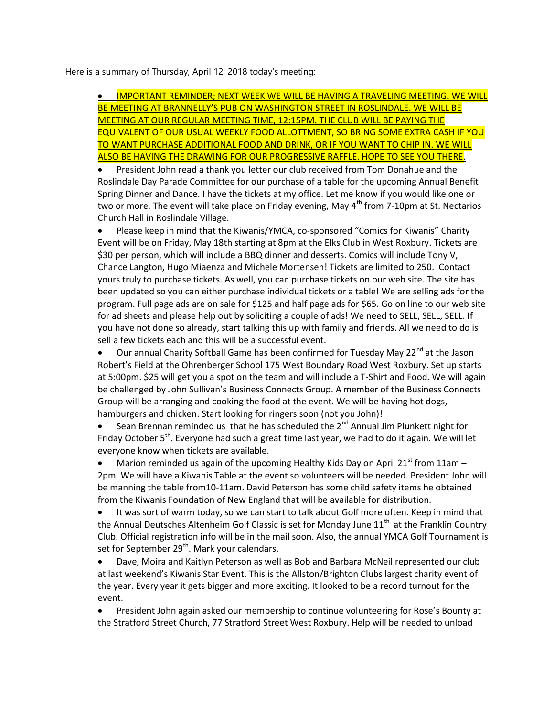Here is a summary of Thursday, April 12, 2018 today's meeting:

 IMPORTANT REMINDER; NEXT WEEK WE WILL BE HAVING A TRAVELING MEETING. WE WILL BE MEETING AT BRANNELLY'S PUB ON WASHINGTON STREET IN ROSLINDALE. WE WILL BE MEETING AT OUR REGULAR MEETING TIME, 12:15PM. THE CLUB WILL BE PAYING THE EQUIVALENT OF OUR USUAL WEEKLY FOOD ALLOTTMENT, SO BRING SOME EXTRA CASH IF YOU TO WANT PURCHASE ADDITIONAL FOOD AND DRINK, OR IF YOU WANT TO CHIP IN. WE WILL ALSO BE HAVING THE DRAWING FOR OUR PROGRESSIVE RAFFLE. HOPE TO SEE YOU THERE.

 President John read a thank you letter our club received from Tom Donahue and the Roslindale Day Parade Committee for our purchase of a table for the upcoming Annual Benefit Spring Dinner and Dance. I have the tickets at my office. Let me know if you would like one or two or more. The event will take place on Friday evening, May  $4^{th}$  from 7-10pm at St. Nectarios Church Hall in Roslindale Village.

 Please keep in mind that the Kiwanis/YMCA, co-sponsored "Comics for Kiwanis" Charity Event will be on Friday, May 18th starting at 8pm at the Elks Club in West Roxbury. Tickets are \$30 per person, which will include a BBQ dinner and desserts. Comics will include Tony V, Chance Langton, Hugo Miaenza and Michele Mortensen! Tickets are limited to 250. Contact yours truly to purchase tickets. As well, you can purchase tickets on our web site. The site has been updated so you can either purchase individual tickets or a table! We are selling ads for the program. Full page ads are on sale for \$125 and half page ads for \$65. Go on line to our web site for ad sheets and please help out by soliciting a couple of ads! We need to SELL, SELL, SELL. If you have not done so already, start talking this up with family and friends. All we need to do is sell a few tickets each and this will be a successful event.

• Our annual Charity Softball Game has been confirmed for Tuesday May 22<sup>nd</sup> at the Jason Robert's Field at the Ohrenberger School 175 West Boundary Road West Roxbury. Set up starts at 5:00pm. \$25 will get you a spot on the team and will include a T-Shirt and Food. We will again be challenged by John Sullivan's Business Connects Group. A member of the Business Connects Group will be arranging and cooking the food at the event. We will be having hot dogs, hamburgers and chicken. Start looking for ringers soon (not you John)!

Sean Brennan reminded us that he has scheduled the  $2^{nd}$  Annual Jim Plunkett night for Friday October  $5<sup>th</sup>$ . Everyone had such a great time last year, we had to do it again. We will let everyone know when tickets are available.

Marion reminded us again of the upcoming Healthy Kids Day on April 21 $^{\text{st}}$  from 11am – 2pm. We will have a Kiwanis Table at the event so volunteers will be needed. President John will be manning the table from10-11am. David Peterson has some child safety items he obtained from the Kiwanis Foundation of New England that will be available for distribution.

 It was sort of warm today, so we can start to talk about Golf more often. Keep in mind that the Annual Deutsches Altenheim Golf Classic is set for Monday June  $11<sup>th</sup>$  at the Franklin Country Club. Official registration info will be in the mail soon. Also, the annual YMCA Golf Tournament is set for September 29<sup>th</sup>. Mark your calendars.

 Dave, Moira and Kaitlyn Peterson as well as Bob and Barbara McNeil represented our club at last weekend's Kiwanis Star Event. This is the Allston/Brighton Clubs largest charity event of the year. Every year it gets bigger and more exciting. It looked to be a record turnout for the event.

 President John again asked our membership to continue volunteering for Rose's Bounty at the Stratford Street Church, 77 Stratford Street West Roxbury. Help will be needed to unload